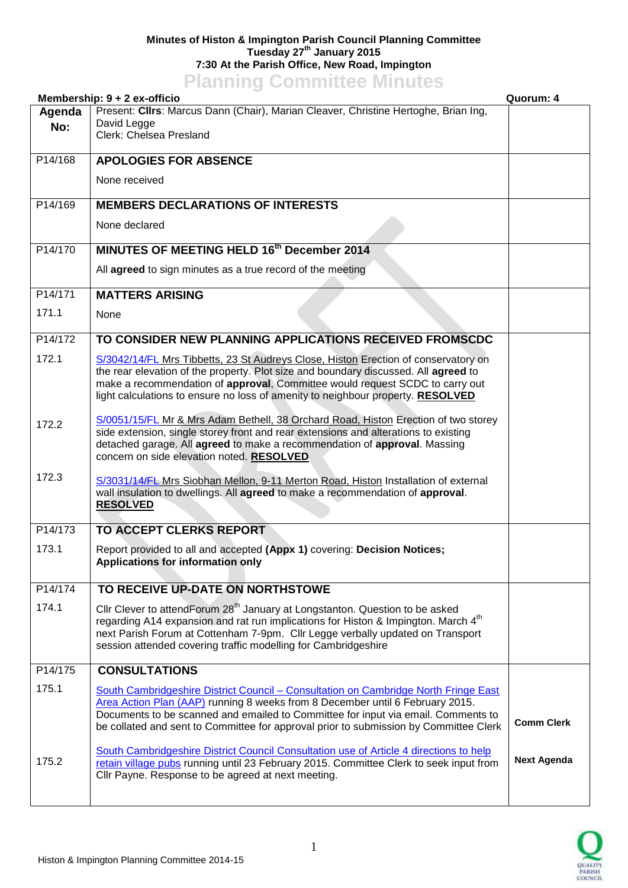## **Minutes of Histon & Impington Parish Council Planning Committee Tuesday 27th January 2015 7:30 At the Parish Office, New Road, Impington Planning Committee Minutes**

|               | <u><b>THATHING OUTHING</b></u> WILLIAMS<br>Membership: 9 + 2 ex-officio                                                                                                                                                                                                                                                                            | Quorum: 4          |
|---------------|----------------------------------------------------------------------------------------------------------------------------------------------------------------------------------------------------------------------------------------------------------------------------------------------------------------------------------------------------|--------------------|
| Agenda<br>No: | Present: Cllrs: Marcus Dann (Chair), Marian Cleaver, Christine Hertoghe, Brian Ing,<br>David Legge<br>Clerk: Chelsea Presland                                                                                                                                                                                                                      |                    |
| P14/168       | <b>APOLOGIES FOR ABSENCE</b>                                                                                                                                                                                                                                                                                                                       |                    |
|               | None received                                                                                                                                                                                                                                                                                                                                      |                    |
| P14/169       | <b>MEMBERS DECLARATIONS OF INTERESTS</b>                                                                                                                                                                                                                                                                                                           |                    |
|               | None declared                                                                                                                                                                                                                                                                                                                                      |                    |
| P14/170       | MINUTES OF MEETING HELD 16th December 2014                                                                                                                                                                                                                                                                                                         |                    |
|               | All agreed to sign minutes as a true record of the meeting                                                                                                                                                                                                                                                                                         |                    |
| P14/171       | <b>MATTERS ARISING</b>                                                                                                                                                                                                                                                                                                                             |                    |
| 171.1         | None                                                                                                                                                                                                                                                                                                                                               |                    |
| P14/172       | TO CONSIDER NEW PLANNING APPLICATIONS RECEIVED FROMSCDC                                                                                                                                                                                                                                                                                            |                    |
| 172.1         | S/3042/14/FL Mrs Tibbetts, 23 St Audreys Close, Histon Erection of conservatory on<br>the rear elevation of the property. Plot size and boundary discussed. All agreed to<br>make a recommendation of approval, Committee would request SCDC to carry out<br>light calculations to ensure no loss of amenity to neighbour property. RESOLVED       |                    |
| 172.2         | S/0051/15/FL Mr & Mrs Adam Bethell, 38 Orchard Road, Histon Erection of two storey<br>side extension, single storey front and rear extensions and alterations to existing<br>detached garage. All agreed to make a recommendation of approval. Massing<br>concern on side elevation noted. RESOLVED                                                |                    |
| 172.3         | S/3031/14/FL Mrs Siobhan Mellon, 9-11 Merton Road, Histon Installation of external<br>wall insulation to dwellings. All agreed to make a recommendation of approval.<br><b>RESOLVED</b>                                                                                                                                                            |                    |
| P14/173       | <b>TO ACCEPT CLERKS REPORT</b>                                                                                                                                                                                                                                                                                                                     |                    |
| 173.1         | Report provided to all and accepted (Appx 1) covering: Decision Notices;<br>Applications for information only                                                                                                                                                                                                                                      |                    |
| P14/174       | TO RECEIVE UP-DATE ON NORTHSTOWE                                                                                                                                                                                                                                                                                                                   |                    |
| 174.1         | Cllr Clever to attendForum 28 <sup>th</sup> January at Longstanton. Question to be asked<br>regarding A14 expansion and rat run implications for Histon & Impington. March 4 <sup>th</sup><br>next Parish Forum at Cottenham 7-9pm. Cllr Legge verbally updated on Transport<br>session attended covering traffic modelling for Cambridgeshire     |                    |
| P14/175       | <b>CONSULTATIONS</b>                                                                                                                                                                                                                                                                                                                               |                    |
| 175.1         | South Cambridgeshire District Council – Consultation on Cambridge North Fringe East<br>Area Action Plan (AAP) running 8 weeks from 8 December until 6 February 2015.<br>Documents to be scanned and emailed to Committee for input via email. Comments to<br>be collated and sent to Committee for approval prior to submission by Committee Clerk | <b>Comm Clerk</b>  |
| 175.2         | South Cambridgeshire District Council Consultation use of Article 4 directions to help<br>retain village pubs running until 23 February 2015. Committee Clerk to seek input from<br>Cllr Payne. Response to be agreed at next meeting.                                                                                                             | <b>Next Agenda</b> |